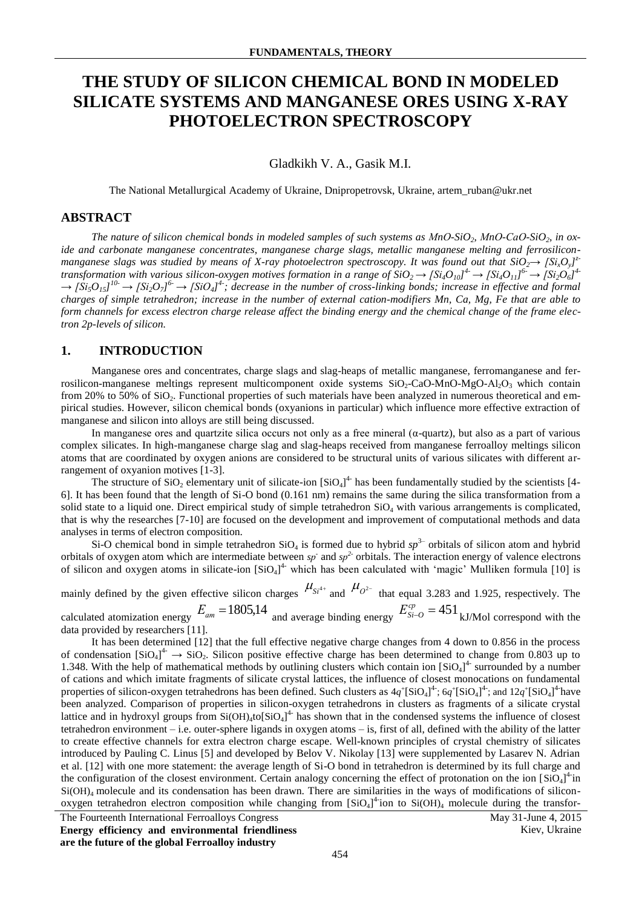# **THE STUDY OF SILICON CHEMICAL BOND IN MODELED SILICATE SYSTEMS AND MANGANESE ORES USING X-RAY PHOTOELECTRON SPECTROSCOPY**

Gladkikh V. A., Gasik M.I.

The National Metallurgical Academy of Ukraine, Dnipropetrovsk, Ukraine, artem\_ruban@ukr.net

### **ABSTRACT**

*The nature of silicon chemical bonds in modeled samples of such systems as МnО-SiO2, МnО-СаО-SiO2, in oxide and carbonate manganese concentrates, manganese charge slags, metallic manganese melting and ferrosiliconmanganese slags was studied by means of X-ray photoelectron spectroscopy. It was found out that*  $SiO_2 \rightarrow [Si_xO_y]^z$ transformation with various silicon-oxygen motives formation in a range of  $SiO_2 \to [Si_4O_{10}]^4 \to [Si_4O_{11}]^6 \to [Si_2O_6]^4$  $\rightarrow$  [Si<sub>5</sub>O<sub>15</sub>]<sup>10</sup>  $\rightarrow$  [Si<sub>2</sub>O<sub>7</sub>]<sup>6</sup>  $\rightarrow$  [SiO<sub>4</sub>]<sup>4</sup>; decrease in the number of cross-linking bonds; increase in effective and formal *charges of simple tetrahedron; increase in the number of external cation-modifiers Mn, Ca, Mg, Fe that are able to form channels for excess electron charge release affect the binding energy and the chemical change of the frame electron 2p-levels of silicon.*

#### **1. INTRODUCTION**

Manganese ores and concentrates, charge slags and slag-heaps of metallic manganese, ferromanganese and ferrosilicon-manganese meltings represent multicomponent oxide systems  $SiO<sub>2</sub>-CaO-MnO-MgO-Al<sub>2</sub>O<sub>3</sub>$  which contain from 20% to 50% of  $SiO<sub>2</sub>$ . Functional properties of such materials have been analyzed in numerous theoretical and empirical studies. However, silicon chemical bonds (oxyanions in particular) which influence more effective extraction of manganese and silicon into alloys are still being discussed.

In manganese ores and quartzite silica occurs not only as a free mineral  $(a$ -quartz), but also as a part of various complex silicates. In high-manganese charge slag and slag-heaps received from manganese ferroalloy meltings silicon atoms that are coordinated by oxygen anions are considered to be structural units of various silicates with different arrangement of oxyanion motives [1-3].

The structure of  $SiO_2$  elementary unit of silicate-ion  $[SiO_4]^4$  has been fundamentally studied by the scientists [4-6]. It has been found that the length of Si-O bond (0.161 nm) remains the same during the silica transformation from a solid state to a liquid one. Direct empirical study of simple tetrahedron  $SiO<sub>4</sub>$  with various arrangements is complicated, that is why the researches [7-10] are focused on the development and improvement of computational methods and data analyses in terms of electron composition.

Si-O chemical bond in simple tetrahedron  $SiO<sub>4</sub>$  is formed due to hybrid  $sp<sup>3–</sup>$  orbitals of silicon atom and hybrid orbitals of oxygen atom which are intermediate between  $sp$  and  $sp^2$  orbitals. The interaction energy of valence electrons of silicon and oxygen atoms in silicate-ion  $[SiO<sub>4</sub>]<sup>4</sup>$  which has been calculated with 'magic' Mulliken formula [10] is

mainly defined by the given effective silicon charges  $\mu_{S_l^{4+}}$  and  $\mu_{O_l^{2-}}$  that equal 3.283 and 1.925, respectively. The calculated atomization energy  $E_{am} = 1805,14$  and average binding energy  $E_{Si-O}^{cp} = 451$  kJ/Mol correspond with the

data provided by researchers [11].

It has been determined [12] that the full effective negative charge changes from 4 down to 0.856 in the process of condensation  $[SiO_4]^4 \rightarrow SiO_2$ . Silicon positive effective charge has been determined to change from 0.803 up to 1.348. With the help of mathematical methods by outlining clusters which contain ion  $[SiO<sub>4</sub>]<sup>4</sup>$  surrounded by a number of cations and which imitate fragments of silicate crystal lattices, the influence of closest monocations on fundamental properties of silicon-oxygen tetrahedrons has been defined. Such clusters as  $4q^+$ [SiO<sub>4</sub>]<sup>4</sup>;  $6q^+$ [SiO<sub>4</sub>]<sup>4</sup>; and  $12q^+$ [SiO<sub>4</sub>]<sup>4</sup> have been analyzed. Comparison of properties in silicon-oxygen tetrahedrons in clusters as fragments of a silicate crystal lattice and in hydroxyl groups from  $Si(OH)_4$ to $[SiO_4]^4$  has shown that in the condensed systems the influence of closest tetrahedron environment – i.e. outer-sphere ligands in oxygen atoms – is, first of all, defined with the ability of the latter to create effective channels for extra electron charge escape. Well-known principles of crystal chemistry of silicates introduced by Pauling C. Linus [5] and developed by Belov V. Nikolay [13] were supplemented by Lasarev N. Adrian et al. [12] with one more statement: the average length of Si-O bond in tetrahedron is determined by its full charge and the configuration of the closest environment. Certain analogy concerning the effect of protonation on the ion  $[SiO<sub>4</sub>]$ <sup>4</sup> in Si(OH)<sub>4</sub> molecule and its condensation has been drawn. There are similarities in the ways of modifications of siliconoxygen tetrahedron electron composition while changing from  $[SiO<sub>4</sub>]<sup>4</sup>$  ion to  $Si(OH)<sub>4</sub>$  molecule during the transfor-

The Fourteenth International Ferroalloys Congress May 31-June 4, 2015 **Energy efficiency and environmental friendliness are the future of the global Ferroalloy industry**

Kiev, Ukraine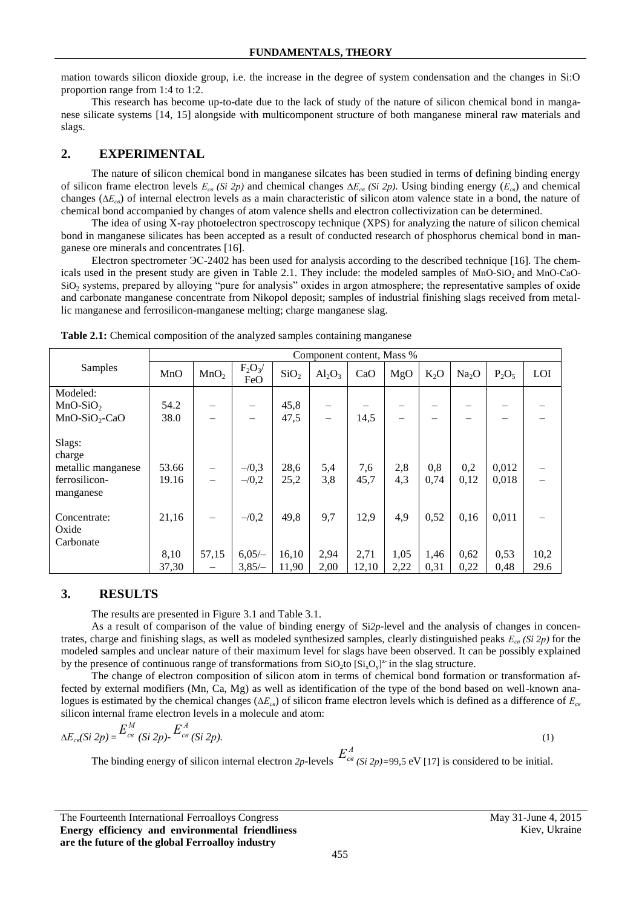mation towards silicon dioxide group, i.e. the increase in the degree of system condensation and the changes in Si:O proportion range from 1:4 to 1:2.

This research has become up-to-date due to the lack of study of the nature of silicon chemical bond in manganese silicate systems [14, 15] alongside with multicomponent structure of both manganese mineral raw materials and slags.

# **2. EXPERIMENTAL**

The nature of silicon chemical bond in manganese silcates has been studied in terms of defining binding energy of silicon frame electron levels *Есв (Si 2р)* and chemical changes ∆*Есв (Si 2р)*. Using binding energy (*Есв*) and chemical changes (∆*Есв*) of internal electron levels as a main characteristic of silicon atom valence state in a bond, the nature of chemical bond accompanied by changes of atom valence shells and electron collectivization can be determined.

The idea of using X-ray photoelectron spectroscopy technique (XPS) for analyzing the nature of silicon chemical bond in manganese silicates has been accepted as a result of conducted research of phosphorus chemical bond in manganese ore minerals and concentrates [16].

Electron spectrometer ЭС-2402 has been used for analysis according to the described technique [16]. The chemicals used in the present study are given in Table 2.1. They include: the modeled samples of MnO-SiO<sub>2</sub> and MnO-CaO-SiO<sup>2</sup> systems, prepared by alloying "pure for analysis" oxides in argon atmosphere; the representative samples of oxide and carbonate manganese concentrate from Nikopol deposit; samples of industrial finishing slags received from metallic manganese and ferrosilicon-manganese melting; charge manganese slag.

|                                                                      | Component content, Mass % |                  |                    |                  |                          |             |            |             |                   |                |      |
|----------------------------------------------------------------------|---------------------------|------------------|--------------------|------------------|--------------------------|-------------|------------|-------------|-------------------|----------------|------|
| Samples                                                              | MnO                       | MnO <sub>2</sub> | $F_2O_3/$<br>FeO   | SiO <sub>2</sub> | $Al_2O_3$                | CaO         | MgO        | $K_2O$      | Na <sub>2</sub> O | $P_2O_5$       | LOI  |
| Modeled:                                                             |                           |                  |                    |                  |                          |             |            |             |                   |                |      |
| $MnO-SiO2$                                                           | 54.2                      |                  |                    | 45,8             |                          |             |            |             |                   |                |      |
| $MnO-SiO2-CaO$                                                       | 38.0                      |                  |                    | 47,5             | $\overline{\phantom{m}}$ | 14,5        |            |             |                   |                |      |
| Slags:<br>charge<br>metallic manganese<br>ferrosilicon-<br>manganese | 53.66<br>19.16            |                  | $-10,3$<br>$-10,2$ | 28,6<br>25,2     | 5,4<br>3,8               | 7,6<br>45,7 | 2,8<br>4,3 | 0,8<br>0,74 | 0,2<br>0,12       | 0,012<br>0,018 |      |
| Concentrate:                                                         | 21,16                     |                  | $-10,2$            | 49,8             | 9,7                      | 12,9        | 4,9        | 0,52        | 0,16              | 0,011          |      |
| Oxide                                                                |                           |                  |                    |                  |                          |             |            |             |                   |                |      |
| Carbonate                                                            |                           |                  |                    |                  |                          |             |            |             |                   |                |      |
|                                                                      | 8,10                      | 57,15            | $6,05/-$           | 16,10            | 2,94                     | 2,71        | 1,05       | 1,46        | 0,62              | 0,53           | 10,2 |
|                                                                      | 37,30                     |                  | $3,85/-$           | 11,90            | 2,00                     | 12,10       | 2,22       | 0,31        | 0,22              | 0,48           | 29.6 |

Table 2.1: Chemical composition of the analyzed samples containing manganese

# **3. RESULTS**

The results are presented in Figure 3.1 and Table 3.1.

As a result of comparison of the value of binding energy of Si*2p*-level and the analysis of changes in concentrates, charge and finishing slags, as well as modeled synthesized samples, clearly distinguished peaks *Есв (Si 2р)* for the modeled samples and unclear nature of their maximum level for slags have been observed. It can be possibly explained by the presence of continuous range of transformations from  $SiO_2$  to  $[Si_xO_y]^2$  in the slag structure.

The change of electron composition of silicon atom in terms of chemical bond formation or transformation affected by external modifiers (Mn, Ca, Mg) as well as identification of the type of the bond based on well-known analogues is estimated by the chemical changes ( $\Delta E_{\text{cg}}$ ) of silicon frame electron levels which is defined as a difference of *E*<sub>*c*β</sub> silicon internal frame electron levels in a molecule and atom:

$$
\Delta E_{ce}(Si\ 2p) = \frac{E_{ce}^M}{(Si\ 2p)} E_{ce}^A \frac{E_{ce}^A}{(Si\ 2p)}.
$$
\n<sup>(1)</sup>

The binding energy of silicon internal electron  $2p$ -levels  $E^A_{c^g(Si\ 2p)=99,5}$  eV [17] is considered to be initial.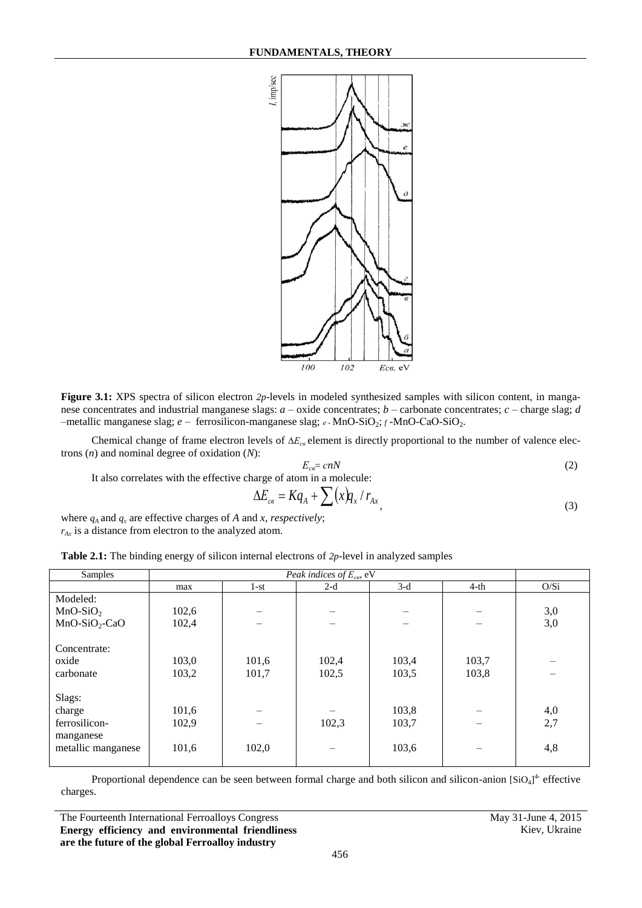

**Figure 3.1:** XPS spectra of silicon electron 2p-levels in modeled synthesized samples with silicon content, in manganese concentrates and industrial manganese slags: *a* – oxide concentrates; *b* – carbonate concentrates; *c* – charge slag; *d* –metallic manganese slag; *e* – ferrosilicon-manganese slag; *<sup>е</sup> -* MnO-SiO2; *<sup>f</sup>* -MnO-СаО-SiO2.

Chemical change of frame electron levels of ∆*E*<sub>*cβ*</sub> element is directly proportional to the number of valence electrons (*n*) and nominal degree of oxidation (*N*):

$$
E_{ce} = cnN \tag{2}
$$

It also correlates with the effective charge of atom in a molecule:

$$
\Delta E_{cs} = K q_A + \sum (x) q_x / r_{Ax}, \qquad (3)
$$

where  $q_A$  and  $q_x$  are effective charges of *A* and *x, respectively*; *rAх* is a distance from electron to the analyzed atom.

| <b>Table 2.1:</b> The binding energy of silicon internal electrons of $2p$ -level in analyzed samples |  |  |
|-------------------------------------------------------------------------------------------------------|--|--|
|-------------------------------------------------------------------------------------------------------|--|--|

| Samples            |       |        |       |       |        |      |
|--------------------|-------|--------|-------|-------|--------|------|
|                    | max   | $1-st$ | $2-d$ | $3-d$ | $4-th$ | O/Si |
| Modeled:           |       |        |       |       |        |      |
| $MnO-SiO2$         | 102,6 |        |       |       |        | 3,0  |
| $MnO-SiO2-CaO$     | 102,4 |        |       |       |        | 3,0  |
|                    |       |        |       |       |        |      |
| Concentrate:       |       |        |       |       |        |      |
| oxide              | 103,0 | 101,6  | 102,4 | 103,4 | 103,7  |      |
| carbonate          | 103,2 | 101,7  | 102,5 | 103,5 | 103,8  |      |
|                    |       |        |       |       |        |      |
| Slags:             |       |        |       |       |        |      |
| charge             | 101,6 |        |       | 103,8 |        | 4,0  |
| ferrosilicon-      | 102,9 |        | 102,3 | 103,7 |        | 2,7  |
| manganese          |       |        |       |       |        |      |
| metallic manganese | 101,6 | 102,0  |       | 103,6 |        | 4,8  |
|                    |       |        |       |       |        |      |

Proportional dependence can be seen between formal charge and both silicon and silicon-anion  $[SiO<sub>4</sub>]<sup>4</sup>$  effective charges.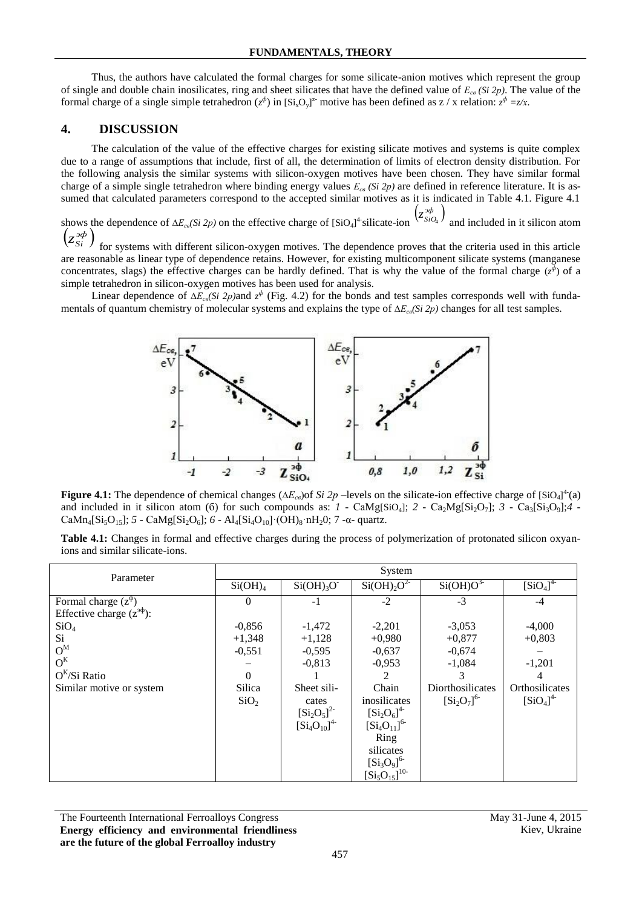Thus, the authors have calculated the formal charges for some silicate-anion motives which represent the group of single and double chain inosilicates, ring and sheet silicates that have the defined value of *Есв (Si 2р)*. The value of the formal charge of a single simple tetrahedron  $(z^{\phi})$  in  $[Si_xO_y]^2$  motive has been defined as  $z / x$  relation:  $z^{\phi} = z/x$ .

## **4. DISCUSSION**

The calculation of the value of the effective charges for existing silicate motives and systems is quite complex due to a range of assumptions that include, first of all, the determination of limits of electron density distribution. For the following analysis the similar systems with silicon-oxygen motives have been chosen. They have similar formal charge of a simple single tetrahedron where binding energy values  $E_{cg}$  (Si 2p) are defined in reference literature. It is assumed that calculated parameters correspond to the accepted similar motives as it is indicated in Table 4.1. Figure 4.1

shows the dependence of Δ*E*<sub>*cβ</sub>*(*Si 2p*) on the effective charge of [SiO<sub>4</sub>]<sup>4</sup> silicate-ion</sub>  $(z_{\text{SiO}_4}^{\text{3}\phi})$  and included in it silicon atom  $\left(z_{Si}^{*\phi}\right)$ 

for systems with different silicon-oxygen motives. The dependence proves that the criteria used in this article are reasonable as linear type of dependence retains. However, for existing multicomponent silicate systems (manganese concentrates, slags) the effective charges can be hardly defined. That is why the value of the formal charge  $(z^{\phi})$  of a simple tetrahedron in silicon-oxygen motives has been used for analysis.

Linear dependence of ∆*Есв(Si 2р)*and *z ф* (Fig. 4.2) for the bonds and test samples corresponds well with fundamentals of quantum chemistry of molecular systems and explains the type of ∆*Есв(Si 2р)* changes for all test samples.



**Figure 4.1:** The dependence of chemical changes ( $\Delta E_{cs}$ ) of *Si 2p* –levels on the silicate-ion effective charge of [SiO<sub>4</sub>]<sup>4</sup>(a) and included in it silicon atom (6) for such compounds as:  $1 - \text{CaMg}[SiO_4]$ ;  $2 - \text{Ca}_2\text{Mg}[Si_2O_7]$ ;  $3 - \text{Ca}_3\text{[Si}_3O_9]$ ;  $4 - \text{Ca}_3\text{[Si}_3O_9]$  $CaMn_4[Si_5O_{15}]$ ; *5* -  $CaMg[Si_2O_6]$ ; *6* -  $Al_4[Si_4O_{10}]$ ·(OH)<sub>8</sub>·nH<sub>2</sub>0; 7 -α- quartz.

**Table 4.1:** Changes in formal and effective charges during the process of polymerization of protonated silicon oxyanions and similar silicate-ions.

| Parameter                        | System              |                   |                                    |                      |                               |  |  |  |
|----------------------------------|---------------------|-------------------|------------------------------------|----------------------|-------------------------------|--|--|--|
|                                  | Si(OH) <sub>4</sub> | $Si(OH)_{3}O^{-}$ | Si(OH) <sub>2</sub> O <sup>2</sup> | Si(OH)O <sup>3</sup> | $\left[\text{SiO}_4\right]^4$ |  |  |  |
| Formal charge $(z^{\varphi})$    | $\theta$            | $-1$              | $-2$                               | $-3$                 | -4                            |  |  |  |
| Effective charge $(z^{3\phi})$ : |                     |                   |                                    |                      |                               |  |  |  |
| SiO <sub>4</sub>                 | $-0,856$            | $-1,472$          | $-2,201$                           | $-3,053$             | $-4,000$                      |  |  |  |
| Si                               | $+1,348$            | $+1,128$          | $+0,980$                           | $+0,877$             | $+0,803$                      |  |  |  |
| $O^M$                            | $-0,551$            | $-0,595$          | $-0,637$                           | $-0,674$             |                               |  |  |  |
| $O^{K}$                          |                     | $-0,813$          | $-0,953$                           | $-1,084$             | $-1,201$                      |  |  |  |
| $O^{K}/Si$ Ratio                 | $\Omega$            |                   | 2                                  | 3                    | 4                             |  |  |  |
| Similar motive or system         | Silica              | Sheet sili-       | Chain                              | Diorthosilicates     | Orthosilicates                |  |  |  |
|                                  | SiO <sub>2</sub>    | cates             | inosilicates                       | $[Si_2O_7]^{6}$      | $[SiO_4]^4$                   |  |  |  |
|                                  |                     | $[Si_2O_5]^{2}$   | $[Si_2O_6]^{4-}$                   |                      |                               |  |  |  |
|                                  |                     | $[Si_4O_{10}]^4$  | $[Si_4O_{11}]^{6}$                 |                      |                               |  |  |  |
|                                  |                     |                   | Ring                               |                      |                               |  |  |  |
|                                  |                     |                   | silicates                          |                      |                               |  |  |  |
|                                  |                     |                   | $[Si_3O_9]^{6}$                    |                      |                               |  |  |  |
|                                  |                     |                   | $[Si_5O_{15}]^{10}$                |                      |                               |  |  |  |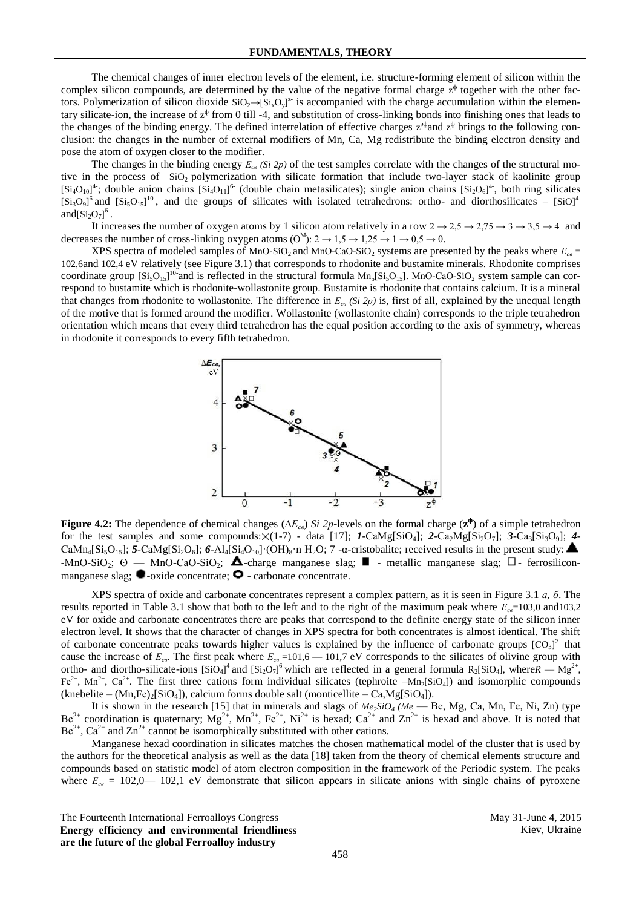The chemical changes of inner electron levels of the element, i.e. structure-forming element of silicon within the complex silicon compounds, are determined by the value of the negative formal charge  $z^{\phi}$  together with the other factors. Polymerization of silicon dioxide  $SiO_2 \rightarrow [Si_xO_y]^2$  is accompanied with the charge accumulation within the elementary silicate-ion, the increase of  $z^{\phi}$  from 0 till -4, and substitution of cross-linking bonds into finishing ones that leads to the changes of the binding energy. The defined interrelation of effective charges  $z^{3\phi}$  and  $z^{\phi}$  brings to the following conclusion: the changes in the number of external modifiers of Mn, Ca, Mg redistribute the binding electron density and pose the atom of oxygen closer to the modifier.

The changes in the binding energy  $E_{cg}$  (Si 2p) of the test samples correlate with the changes of the structural motive in the process of SiO<sub>2</sub> polymerization with silicate formation that include two-layer stack of kaolinite group  $[Si<sub>4</sub>O<sub>10</sub>]<sup>4</sup>$ ; double anion chains  $[Si<sub>4</sub>O<sub>11</sub>]<sup>6</sup>$  (double chain metasilicates); single anion chains  $[Si<sub>2</sub>O<sub>6</sub>]<sup>4</sup>$ , both ring silicates  $[Si<sub>3</sub>O<sub>9</sub>]$ <sup>6</sup> and  $[Si<sub>3</sub>O<sub>15</sub>]$ <sup>10</sup>, and the groups of silicates with isolated tetrahedrons: ortho- and diorthosilicates –  $[SiO]$ <sup>4</sup> and $[Si_2O_7]^{6}$ .

It increases the number of oxygen atoms by 1 silicon atom relatively in a row  $2 \rightarrow 2.5 \rightarrow 2.75 \rightarrow 3 \rightarrow 3.5 \rightarrow 4$  and decreases the number of cross-linking oxygen atoms  $(O^M)$ :  $2 \rightarrow 1,5 \rightarrow 1,25 \rightarrow 1 \rightarrow 0,5 \rightarrow 0$ .

XPS spectra of modeled samples of MnO-SiO<sub>2</sub> and MnO-CaO-SiO<sub>2</sub> systems are presented by the peaks where  $E_{cg}$ 102,6and 102,4 eV relatively (see Figure 3.1) that corresponds to rhodonite and bustamite minerals. Rhodonite comprises coordinate group  $[Si<sub>3</sub>O<sub>15</sub>]$ <sup>10</sup> and is reflected in the structural formula  $Mn<sub>5</sub>[Si<sub>5</sub>O<sub>15</sub>]$ . MnO-CaO-SiO<sub>2</sub> system sample can correspond to bustamite which is rhodonite-wollastonite group. Bustamite is rhodonite that contains calcium. It is a mineral that changes from rhodonite to wollastonite. The difference in *Есв (Si 2р)* is, first of all, explained by the unequal length of the motive that is formed around the modifier. Wollastonite (wollastonite chain) corresponds to the triple tetrahedron orientation which means that every third tetrahedron has the equal position according to the axis of symmetry, whereas in rhodonite it corresponds to every fifth tetrahedron.



**Figure 4.2:** The dependence of chemical changes **(**∆*Есв*) *Si 2р*-levels on the formal charge (**z ф** ) of a simple tetrahedron for the test samples and some compounds:  $\times$ (1-7) - data [17]; *1*-CaMg[SiO<sub>4</sub>]; *2*-Ca<sub>2</sub>Mg[Si<sub>2</sub>O<sub>7</sub>]; *3*-Ca<sub>3</sub>[Si<sub>3</sub>O<sub>9</sub>]; *4*- $CaMn_4[Si_5O_{15}]$ ; **5**-CaMg[Si<sub>2</sub>O<sub>6</sub>]; **6**-Al<sub>4</sub>[Si<sub>4</sub>O<sub>10</sub>]·(OH)<sub>8</sub>·n H<sub>2</sub>O; 7 -α-cristobalite; received results in the present study:  $-MnO-SiO<sub>2</sub>; O = MnO-CaO-SiO<sub>2</sub>; \triangle$ -charge manganese slag;  $\Box$  - metallic manganese slag;  $\Box$ - ferrosiliconmanganese slag;  $\bullet$ -oxide concentrate;  $\bullet$  - carbonate concentrate.

XPS spectra of oxide and carbonate concentrates represent a complex pattern, as it is seen in Figure 3.1 *а, б*. The results reported in Table 3.1 show that both to the left and to the right of the maximum peak where  $E_{ce}$ =103,0 and103,2 eV for oxide and carbonate concentrates there are peaks that correspond to the definite energy state of the silicon inner electron level. It shows that the character of changes in XPS spectra for both concentrates is almost identical. The shift of carbonate concentrate peaks towards higher values is explained by the influence of carbonate groups  $[CO<sub>3</sub>]<sup>2</sup>$  that cause the increase of *Есв*. The first peak where *Есв* =101,6 — 101,7 eV corresponds to the silicates of olivine group with ortho- and diortho-silicate-ions  $[SiO_4]^4$  and  $[Si_2O_7]^6$  which are reflected in a general formula  $R_2[SiO_4]$ , where $R = Mg^{2+}$ , Fe<sup>2+</sup>, Mn<sup>2+</sup>, Ca<sup>2+</sup>. The first three cations form individual silicates (tephroite  $-Mn_2[SiO_4]$ ) and isomorphic compounds  $(knebelite - (Mn, Fe)_{2}[SiO_{4}])$ , calcium forms double salt (monticellite – Ca, Mg[SiO<sub>4</sub>]).

It is shown in the research [15] that in minerals and slags of  $Me<sub>2</sub>SiO<sub>4</sub>$  (Me — Be, Mg, Ca, Mn, Fe, Ni, Zn) type  $Be^{2+}$  coordination is quaternary;  $Mg^{2+}$ ,  $Mn^{2+}$ ,  $Fe^{2+}$ ,  $Ni^{2+}$  is hexad;  $Ca^{2+}$  and  $Zn^{2+}$  is hexad and above. It is noted that  $Be^{2+}$ ,  $Ca^{2+}$  and  $Zn^{2+}$  cannot be isomorphically substituted with other cations.

Manganese hexad coordination in silicates matches the chosen mathematical model of the cluster that is used by the authors for the theoretical analysis as well as the data [18] taken from the theory of chemical elements structure and compounds based on statistic model of atom electron composition in the framework of the Periodic system. The peaks where  $E_{ce} = 102,0$  102,1 eV demonstrate that silicon appears in silicate anions with single chains of pyroxene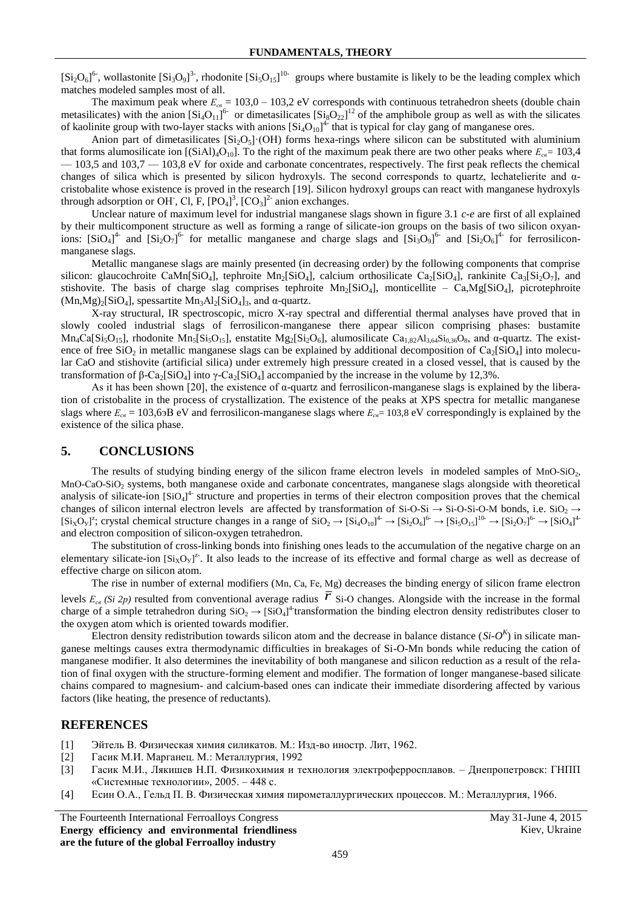$[Si_2O_6]$ <sup>6-</sup>, wollastonite  $[Si_3O_9]$ <sup>3-</sup>, rhodonite  $[Si_5O_{15}]$ <sup>10-</sup> groups where bustamite is likely to be the leading complex which matches modeled samples most of all.

The maximum peak where  $E_{ce} = 103.0 - 103.2$  eV corresponds with continuous tetrahedron sheets (double chain metasilicates) with the anion  $\left[S_i\_{11}\right]^{6}$  or dimetasilicates  $\left[S_i\_{22}\right]^{12}$  of the amphibole group as well as with the silicates of kaolinite group with two-layer stacks with anions  $[Si_4O_{10}]^4$  that is typical for clay gang of manganese ores.

Anion part of dimetasilicates  $[Si_2O<sub>5</sub>](OH)$  forms hexa-rings where silicon can be substituted with aluminium that forms alumosilicate ion  $[(SiAl)_4O_{10}]$ . To the right of the maximum peak there are two other peaks where  $E_{cg} = 103.4$ — 103,5 and 103,7 — 103,8 eV for oxide and carbonate concentrates, respectively. The first peak reflects the chemical changes of silica which is presented by silicon hydroxyls. The second corresponds to quartz, lechatelierite and αcristobalite whose existence is proved in the research [19]. Silicon hydroxyl groups can react with manganese hydroxyls through adsorption or OH<sup>-</sup>, Cl, F,  $[PO_4]^3$ ,  $[CO_3]^2$ <sup>-</sup> anion exchanges.

Unclear nature of maximum level for industrial manganese slags shown in figure 3.1 *c-e* are first of all explained by their multicomponent structure as well as forming a range of silicate-ion groups on the basis of two silicon oxyanions:  $[SiO<sub>4</sub>]<sup>4-</sup>$  and  $[Si<sub>2</sub>O<sub>7</sub>]<sup>6-</sup>$  for metallic manganese and charge slags and  $[Si<sub>3</sub>O<sub>9</sub>]<sup>6-</sup>$  and  $[Si<sub>2</sub>O<sub>6</sub>]<sup>4-</sup>$  for ferrosiliconmanganese slags.

Metallic manganese slags are mainly presented (in decreasing order) by the following components that comprise silicon: glaucochroite CaMn[SiO<sub>4</sub>], tephroite Mn<sub>2</sub>[SiO<sub>4</sub>], calcium orthosilicate Ca<sub>2</sub>[SiO<sub>4</sub>], rankinite Ca<sub>3</sub>[Si<sub>2</sub>O<sub>7</sub>], and stishovite. The basis of charge slag comprises tephroite Mn<sub>2</sub>[SiO<sub>4</sub>], monticellite – Ca,Mg[SiO<sub>4</sub>], picrotephroite  $(Mn, Mg)_2[SiO_4]$ , spessartite  $Mn_3Al_2[SiO_4]_3$ , and  $\alpha$ -quartz.

X-ray structural, IR spectroscopic, micro X-ray spectral and differential thermal analyses have proved that in slowly cooled industrial slags of ferrosilicon-manganese there appear silicon comprising phases: bustamite Mn<sub>4</sub>Ca[Si<sub>5</sub>O<sub>15</sub>], rhodonite Mn<sub>5</sub>[Si<sub>5</sub>O<sub>15</sub>], enstatite Mg<sub>2</sub>[Si<sub>2</sub>O<sub>6</sub>], alumosilicate Ca<sub>1,82</sub>Al<sub>3,64</sub>Si<sub>0,36</sub>O<sub>8</sub>, and α-quartz. The existence of free SiO<sub>2</sub> in metallic manganese slags can be explained by additional decomposition of  $Ca_2[SiO_4]$  into molecular CaO and stishovite (artificial silica) under extremely high pressure created in a closed vessel, that is caused by the transformation of β-Ca<sub>2</sub>[SiO<sub>4</sub>] into γ-Ca<sub>2</sub>[SiO<sub>4</sub>] accompanied by the increase in the volume by 12,3%.

As it has been shown [20], the existence of  $\alpha$ -quartz and ferrosilicon-manganese slags is explained by the liberation of cristobalite in the process of crystallization. The existence of the peaks at XPS spectra for metallic manganese slags where  $E_{ce} = 103,6$  oB eV and ferrosilicon-manganese slags where  $E_{ce} = 103,8$  eV correspondingly is explained by the existence of the silica phase.

#### **5. CONCLUSIONS**

The results of studying binding energy of the silicon frame electron levels in modeled samples of MnO-SiO<sub>2</sub>, MnO-CaO-SiO<sub>2</sub> systems, both manganese oxide and carbonate concentrates, manganese slags alongside with theoretical analysis of silicate-ion [SiO<sub>4</sub>]<sup>4</sup> structure and properties in terms of their electron composition proves that the chemical changes of silicon internal electron levels are affected by transformation of Si-O-Si  $\rightarrow$  Si-O-Si-O-M bonds, i.e. SiO<sub>2</sub>  $\rightarrow$  $[Si_XO_Y]^2$ ; crystal chemical structure changes in a range of  $SiO_2 \rightarrow [Si_4O_{10}]^4 \rightarrow [Si_2O_6]^6 \rightarrow [Si_5O_{15}]^{10} \rightarrow [Si_2O_7]^6 \rightarrow [SiO_4]^4$ and electron composition of silicon-oxygen tetrahedron.

The substitution of cross-linking bonds into finishing ones leads to the accumulation of the negative charge on an elementary silicate-ion  $[Si_XO_Y]^2$ . It also leads to the increase of its effective and formal charge as well as decrease of effective charge on silicon atom.

The rise in number of external modifiers (Mn, Ca, Fe, Mg) decreases the binding energy of silicon frame electron levels  $E_{cg}$  (Si 2p) resulted from conventional average radius  $\overline{r}$  Si-O changes. Alongside with the increase in the formal charge of a simple tetrahedron during  $SiO_2 \rightarrow [SiO_4]^4$  transformation the binding electron density redistributes closer to the oxygen atom which is oriented towards modifier.

Electron density redistribution towards silicon atom and the decrease in balance distance  $(S_i \cdot O^k)$  in silicate manganese meltings causes extra thermodynamic difficulties in breakages of Si-O-Mn bonds while reducing the cation of manganese modifier. It also determines the inevitability of both manganese and silicon reduction as a result of the relation of final oxygen with the structure-forming element and modifier. The formation of longer manganese-based silicate chains compared to magnesium- and calcium-based ones can indicate their immediate disordering affected by various factors (like heating, the presence of reductants).

#### **REFERENCES**

- [1] Эйтель В. Физическая химия силикатов. М.: Изд-во иностр. Лит, 1962.
- [2] Гасик М.И. Марганец. М.: Металлургия, 1992
- [3] Гасик М.И., Лякишев Н.П. Физикохимия и технология электроферросплавов. Днепропетровск: ГНПП «Системные технологии», 2005. – 448 с.
- [4] Есин О.А., Гельд П. В. Физическая химия пирометаллургических процессов. М.: Металлургия, 1966.